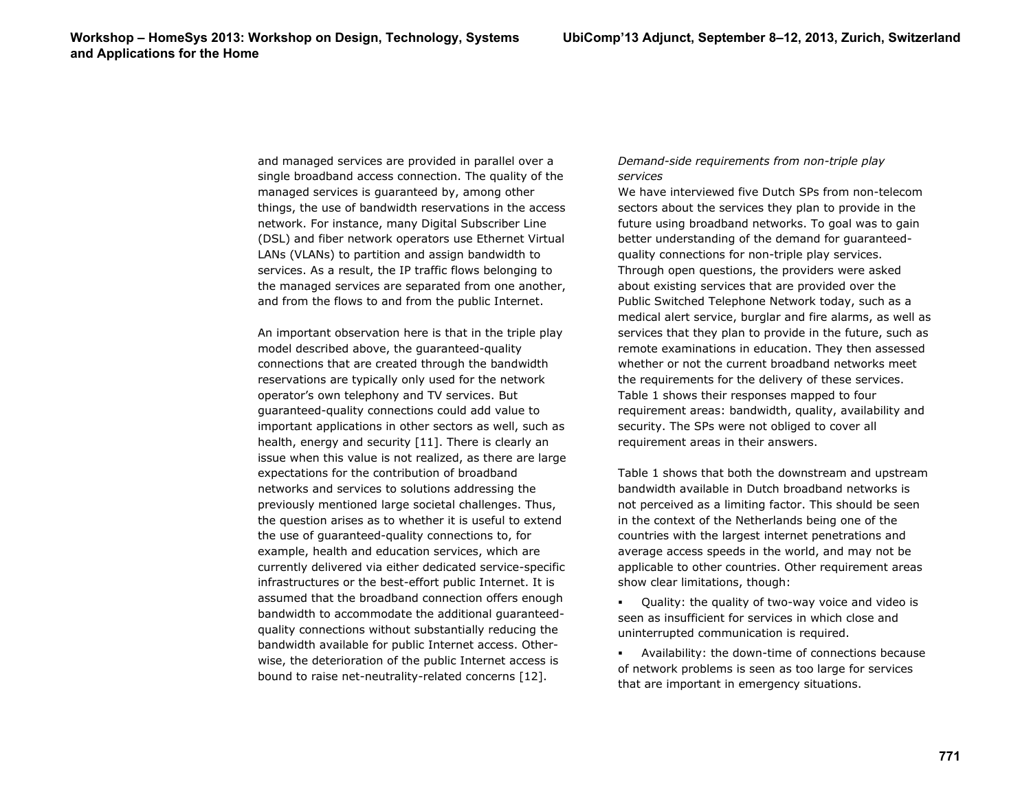and managed services are provided in parallel over a single broadband access connection. The quality of the managed services is guaranteed by, among other things, the use of bandwidth reservations in the access network. For instance, many Digital Subscriber Line (DSL) and fiber network operators use Ethernet Virtual LANs (VLANs) to partition and assign bandwidth to services. As a result, the IP traffic flows belonging to the managed services are separated from one another, and from the flows to and from the public Internet.

An important observation here is that in the triple play model described above, the guaranteed-quality connections that are created through the bandwidth reservations are typically only used for the network operator's own telephony and TV services. But guaranteed-quality connections could add value to important applications in other sectors as well, such as health, energy and security [11]. There is clearly an issue when this value is not realized, as there are large expectations for the contribution of broadband networks and services to solutions addressing the previously mentioned large societal challenges. Thus, the question arises as to whether it is useful to extend the use of guaranteed-quality connections to, for example, health and education services, which are currently delivered via either dedicated service-specific infrastructures or the best-effort public Internet. It is assumed that the broadband connection offers enough bandwidth to accommodate the additional guaranteedquality connections without substantially reducing the bandwidth available for public Internet access. Otherwise, the deterioration of the public Internet access is bound to raise net-neutrality-related concerns [12].

# *Demand-side requirements from non-triple play services*

We have interviewed five Dutch SPs from non-telecom sectors about the services they plan to provide in the future using broadband networks. To goal was to gain better understanding of the demand for guaranteedquality connections for non-triple play services. Through open questions, the providers were asked about existing services that are provided over the Public Switched Telephone Network today, such as a medical alert service, burglar and fire alarms, as well as services that they plan to provide in the future, such as remote examinations in education. They then assessed whether or not the current broadband networks meet the requirements for the delivery of these services. Table 1 shows their responses mapped to four requirement areas: bandwidth, quality, availability and security. The SPs were not obliged to cover all requirement areas in their answers. **UbiComp'13 Adjunct, September 8–12, 2013, Zurich, Switzerland**<br> *Permand-side requirements from non-triple play*<br> *services* about its earwices they plan to provide in the settors about the services they plan to provide i

Table 1 shows that both the downstream and upstream bandwidth available in Dutch broadband networks is not perceived as a limiting factor. This should be seen in the context of the Netherlands being one of the countries with the largest internet penetrations and average access speeds in the world, and may not be applicable to other countries. Other requirement areas show clear limitations, though:

 Quality: the quality of two-way voice and video is seen as insufficient for services in which close and uninterrupted communication is required.

 Availability: the down-time of connections because of network problems is seen as too large for services that are important in emergency situations.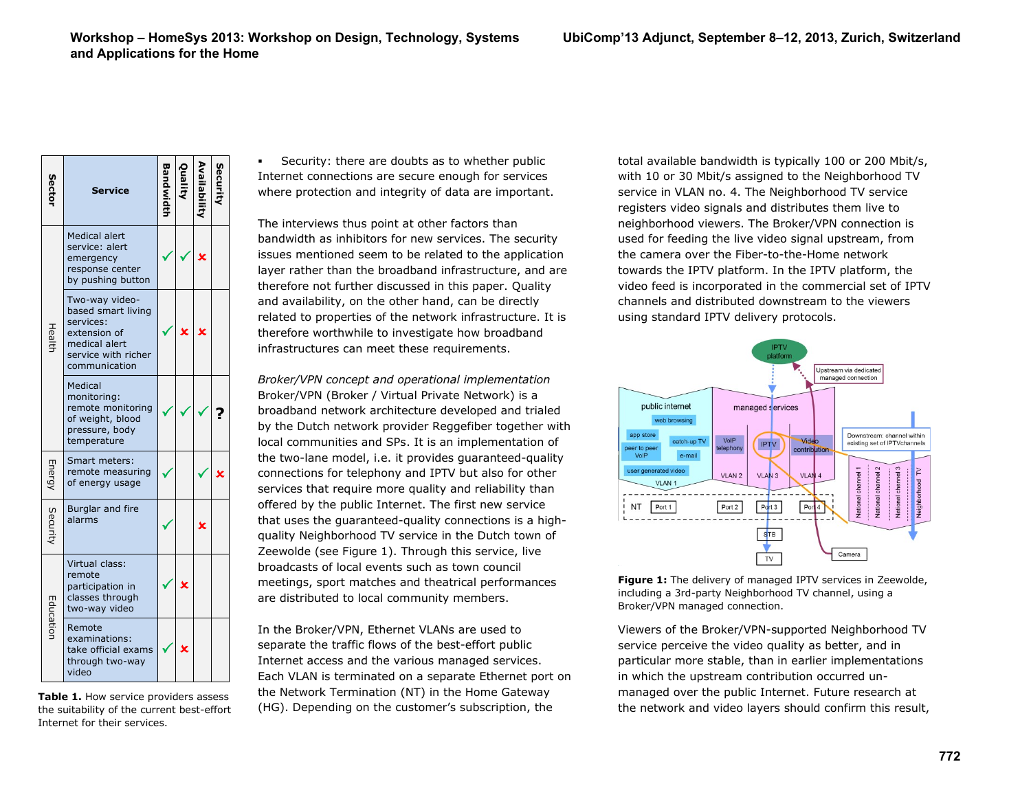

**Table 1.** How service providers assess the suitability of the current best-effort Internet for their services.

Security: there are doubts as to whether public Internet connections are secure enough for services where protection and integrity of data are important.

The interviews thus point at other factors than bandwidth as inhibitors for new services. The security issues mentioned seem to be related to the application layer rather than the broadband infrastructure, and are therefore not further discussed in this paper. Quality and availability, on the other hand, can be directly related to properties of the network infrastructure. It is therefore worthwhile to investigate how broadband infrastructures can meet these requirements.

*Broker/VPN concept and operational implementation*  Broker/VPN (Broker / Virtual Private Network) is a broadband network architecture developed and trialed by the Dutch network provider Reggefiber together with local communities and SPs. It is an implementation of the two-lane model, i.e. it provides guaranteed-quality connections for telephony and IPTV but also for other services that require more quality and reliability than offered by the public Internet. The first new service that uses the guaranteed-quality connections is a highquality Neighborhood TV service in the Dutch town of Zeewolde (see Figure 1). Through this service, live broadcasts of local events such as town council meetings, sport matches and theatrical performances are distributed to local community members.

In the Broker/VPN, Ethernet VLANs are used to separate the traffic flows of the best-effort public Internet access and the various managed services. Each VLAN is terminated on a separate Ethernet port on the Network Termination (NT) in the Home Gateway (HG). Depending on the customer's subscription, the

total available bandwidth is typically 100 or 200 Mbit/s, with 10 or 30 Mbit/s assigned to the Neighborhood TV service in VLAN no. 4. The Neighborhood TV service registers video signals and distributes them live to neighborhood viewers. The Broker/VPN connection is used for feeding the live video signal upstream, from the camera over the Fiber-to-the-Home network towards the IPTV platform. In the IPTV platform, the video feed is incorporated in the commercial set of IPTV channels and distributed downstream to the viewers using standard IPTV delivery protocols.



**Figure 1:** The delivery of managed IPTV services in Zeewolde, including a 3rd-party Neighborhood TV channel, using a Broker/VPN managed connection.

Viewers of the Broker/VPN-supported Neighborhood TV service perceive the video quality as better, and in particular more stable, than in earlier implementations in which the upstream contribution occurred unmanaged over the public Internet. Future research at the network and video layers should confirm this result,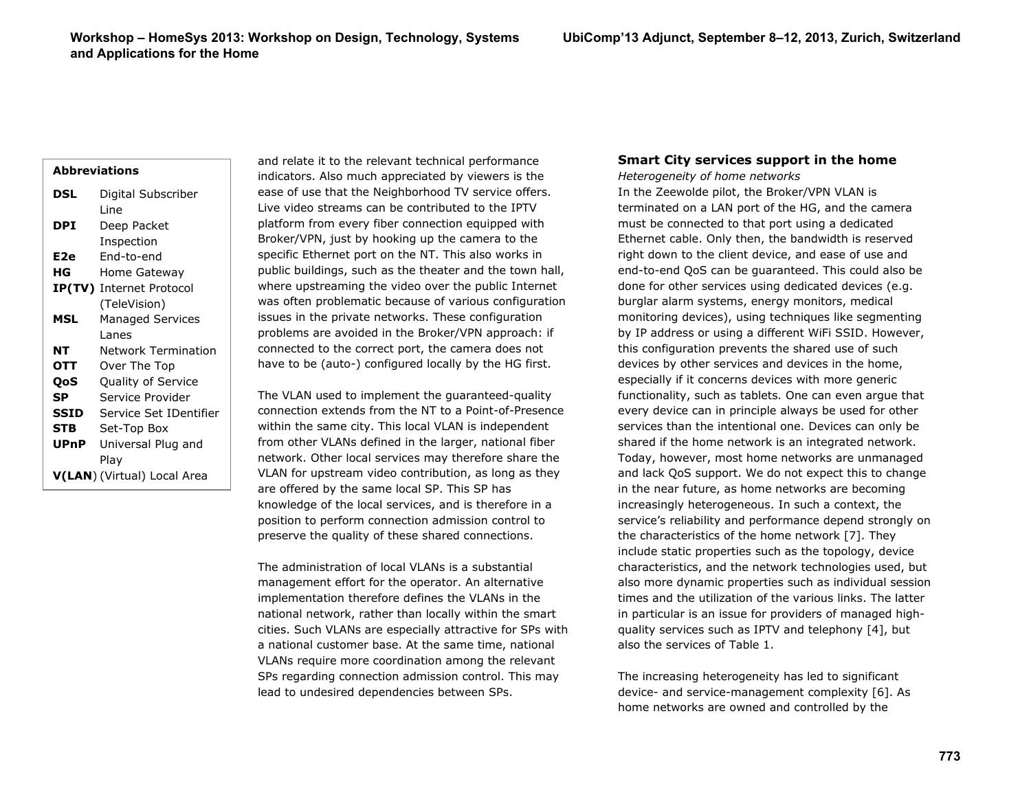#### **Abbreviations**

| DSL         | Digital Subscriber          |
|-------------|-----------------------------|
|             | l ine                       |
| DPI         | Deep Packet                 |
|             | Inspection                  |
| E2e         | End-to-end                  |
| ΗG          | Home Gateway                |
| IP(TV)      | <b>Internet Protocol</b>    |
|             | (TeleVision)                |
| MSL         | <b>Managed Services</b>     |
|             | l anes                      |
| NΤ          | Network Termination         |
| отт         | Over The Top                |
| QoS         | Quality of Service          |
| SP          | Service Provider            |
| SSID        | Service Set IDentifier      |
| STB         | Set-Top Box                 |
| <b>UPnP</b> | Universal Plug and          |
|             | Play                        |
|             | V(LAN) (Virtual) Local Area |
|             |                             |

and relate it to the relevant technical performance indicators. Also much appreciated by viewers is the ease of use that the Neighborhood TV service offers. Live video streams can be contributed to the IPTV platform from every fiber connection equipped with Broker/VPN, just by hooking up the camera to the specific Ethernet port on the NT. This also works in public buildings, such as the theater and the town hall, where upstreaming the video over the public Internet was often problematic because of various configuration issues in the private networks. These configuration problems are avoided in the Broker/VPN approach: if connected to the correct port, the camera does not have to be (auto-) configured locally by the HG first.

The VLAN used to implement the guaranteed-quality connection extends from the NT to a Point-of-Presence within the same city. This local VLAN is independent from other VLANs defined in the larger, national fiber network. Other local services may therefore share the VLAN for upstream video contribution, as long as they are offered by the same local SP. This SP has knowledge of the local services, and is therefore in a position to perform connection admission control to preserve the quality of these shared connections.

The administration of local VLANs is a substantial management effort for the operator. An alternative implementation therefore defines the VLANs in the national network, rather than locally within the smart cities. Such VLANs are especially attractive for SPs with a national customer base. At the same time, national VLANs require more coordination among the relevant SPs regarding connection admission control. This may lead to undesired dependencies between SPs.

### **Smart City services support in the home**

*Heterogeneity of home networks*  In the Zeewolde pilot, the Broker/VPN VLAN is terminated on a LAN port of the HG, and the camera must be connected to that port using a dedicated Ethernet cable. Only then, the bandwidth is reserved right down to the client device, and ease of use and end-to-end QoS can be guaranteed. This could also be done for other services using dedicated devices (e.g. burglar alarm systems, energy monitors, medical monitoring devices), using techniques like segmenting by IP address or using a different WiFi SSID. However, this configuration prevents the shared use of such devices by other services and devices in the home, especially if it concerns devices with more generic functionality, such as tablets. One can even argue that every device can in principle always be used for other services than the intentional one. Devices can only be shared if the home network is an integrated network. Today, however, most home networks are unmanaged and lack QoS support. We do not expect this to change in the near future, as home networks are becoming increasingly heterogeneous. In such a context, the service's reliability and performance depend strongly on the characteristics of the home network [7]. They include static properties such as the topology, device characteristics, and the network technologies used, but also more dynamic properties such as individual session times and the utilization of the various links. The latter in particular is an issue for providers of managed highquality services such as IPTV and telephony [4], but also the services of Table 1. **UbiComp'13 Adjunct, September 8–12, 2013, Zurich, Switzerland CHV services support in the home** *Heterogeneity of home networks***<br>
In the Zeewolde pllot, the Broker/VPN VLAN is terminated on a LAN port of the HG, and the ca** 

The increasing heterogeneity has led to significant device- and service-management complexity [6]. As home networks are owned and controlled by the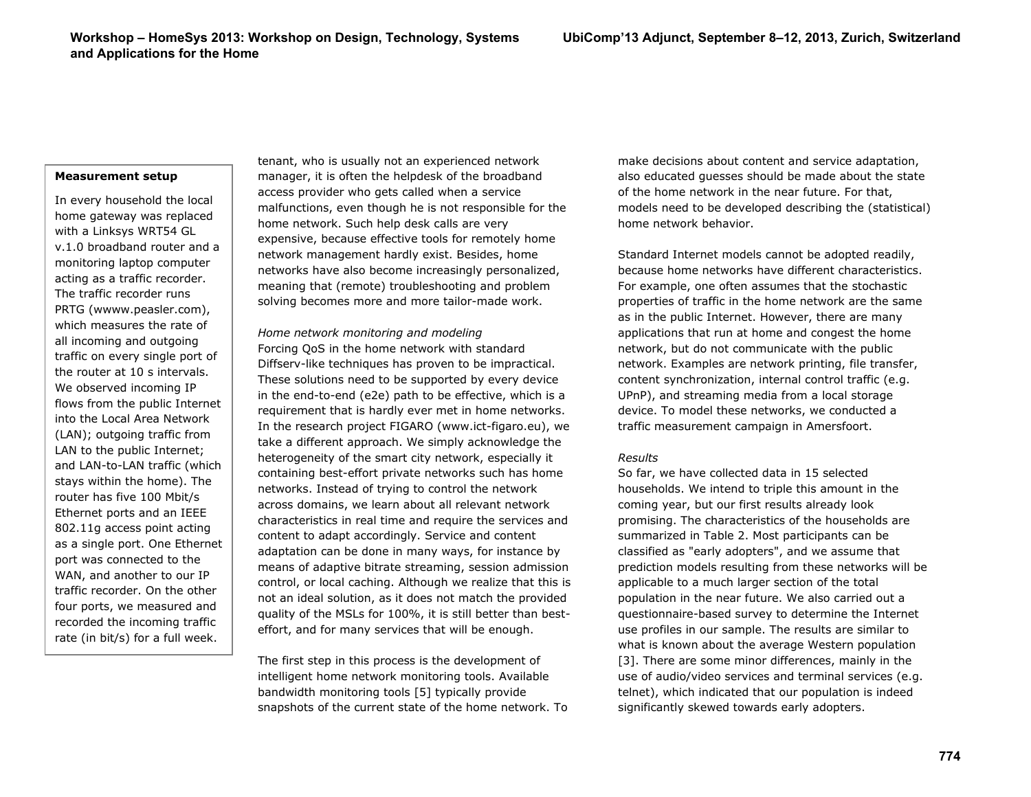## **Measurement setup**

In every household the local home gateway was replaced with a Linksys WRT54 GL v.1.0 broadband router and a monitoring laptop computer acting as a traffic recorder. The traffic recorder runs PRTG (wwww.peasler.com), which measures the rate of all incoming and outgoing traffic on every single port of the router at 10 s intervals. We observed incoming IP flows from the public Internet into the Local Area Network (LAN); outgoing traffic from LAN to the public Internet; and LAN-to-LAN traffic (which stays within the home). The router has five 100 Mbit/s Ethernet ports and an IEEE 802.11g access point acting as a single port. One Ethernet port was connected to the WAN, and another to our IP traffic recorder. On the other four ports, we measured and recorded the incoming traffic rate (in bit/s) for a full week.

tenant, who is usually not an experienced network manager, it is often the helpdesk of the broadband access provider who gets called when a service malfunctions, even though he is not responsible for the home network. Such help desk calls are very expensive, because effective tools for remotely home network management hardly exist. Besides, home networks have also become increasingly personalized, meaning that (remote) troubleshooting and problem solving becomes more and more tailor-made work.

*Home network monitoring and modeling*  Forcing QoS in the home network with standard Diffserv-like techniques has proven to be impractical. These solutions need to be supported by every device in the end-to-end (e2e) path to be effective, which is a requirement that is hardly ever met in home networks. In the research project FIGARO (www.ict-figaro.eu), we take a different approach. We simply acknowledge the heterogeneity of the smart city network, especially it containing best-effort private networks such has home networks. Instead of trying to control the network across domains, we learn about all relevant network characteristics in real time and require the services and content to adapt accordingly. Service and content adaptation can be done in many ways, for instance by means of adaptive bitrate streaming, session admission control, or local caching. Although we realize that this is not an ideal solution, as it does not match the provided quality of the MSLs for 100%, it is still better than besteffort, and for many services that will be enough.

The first step in this process is the development of intelligent home network monitoring tools. Available bandwidth monitoring tools [5] typically provide snapshots of the current state of the home network. To make decisions about content and service adaptation, also educated guesses should be made about the state of the home network in the near future. For that, models need to be developed describing the (statistical) home network behavior.

Standard Internet models cannot be adopted readily, because home networks have different characteristics. For example, one often assumes that the stochastic properties of traffic in the home network are the same as in the public Internet. However, there are many applications that run at home and congest the home network, but do not communicate with the public network. Examples are network printing, file transfer, content synchronization, internal control traffic (e.g. UPnP), and streaming media from a local storage device. To model these networks, we conducted a traffic measurement campaign in Amersfoort.

#### *Results*

So far, we have collected data in 15 selected households. We intend to triple this amount in the coming year, but our first results already look promising. The characteristics of the households are summarized in Table 2. Most participants can be classified as "early adopters", and we assume that prediction models resulting from these networks will be applicable to a much larger section of the total population in the near future. We also carried out a questionnaire-based survey to determine the Internet use profiles in our sample. The results are similar to what is known about the average Western population [3]. There are some minor differences, mainly in the use of audio/video services and terminal services (e.g. telnet), which indicated that our population is indeed significantly skewed towards early adopters. **UbiComp'13 Adjunct, September 8–12, 2013, Zurich, Switzerland**<br>
make decisions about content and service adaptation,<br>
also educated guesses should be made about the state<br>
of the home network in the near future. For that,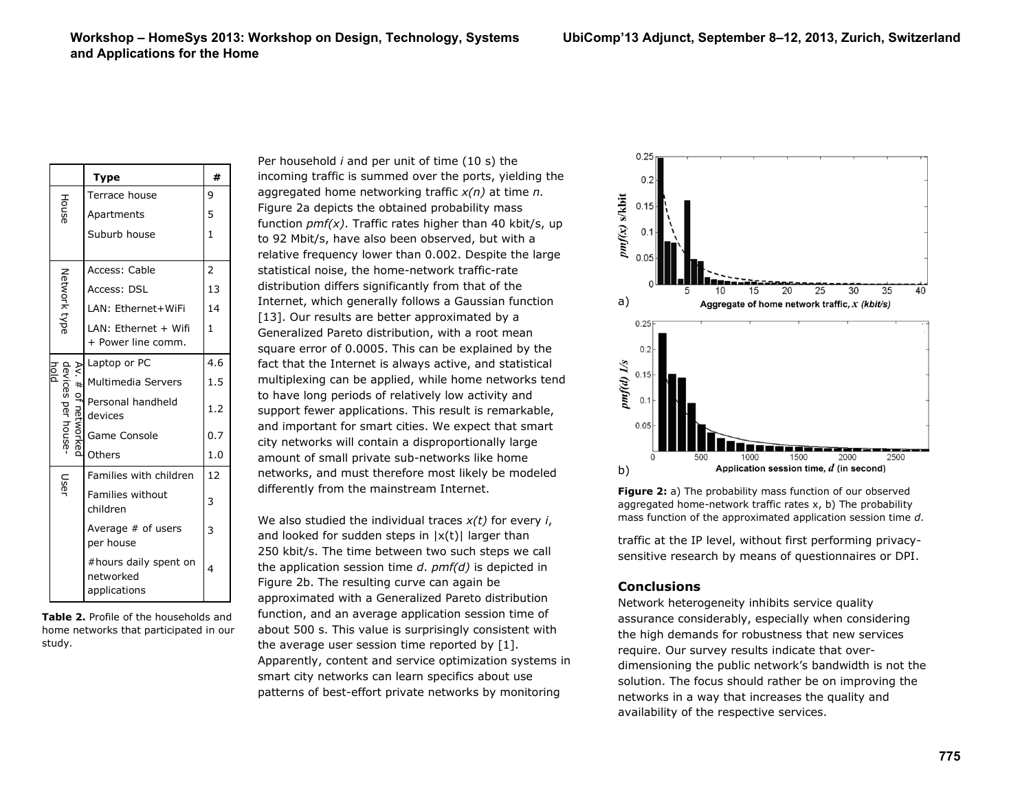|                                                  | Type                                               | #   |
|--------------------------------------------------|----------------------------------------------------|-----|
| House                                            | Terrace house                                      | 9   |
|                                                  | Apartments                                         | 5   |
|                                                  | Suburb house                                       | 1   |
|                                                  |                                                    |     |
| Network type                                     | Access: Cable                                      | 2   |
|                                                  | Access: DSL                                        | 13  |
|                                                  | LAN: Ethernet+WiFi                                 | 14  |
|                                                  | LAN: Ethernet + Wifi<br>+ Power line comm.         | 1   |
| Av. # of networked<br>devices per house-<br>noid | Laptop or PC                                       | 4.6 |
|                                                  | Multimedia Servers                                 | 1.5 |
|                                                  | Personal handheld<br>devices                       | 1.2 |
|                                                  | Game Console                                       | 0.7 |
|                                                  | Others                                             | 1.0 |
| User                                             | Families with children                             | 12  |
|                                                  | Families without<br>children                       | 3   |
|                                                  | Average $#$ of users<br>per house                  | 3   |
|                                                  | #hours daily spent on<br>networked<br>applications | 4   |

**Table 2.** Profile of the households and home networks that participated in our study.

Per household *i* and per unit of time (10 s) the incoming traffic is summed over the ports, yielding the aggregated home networking traffic *x(n)* at time *n.* Figure 2a depicts the obtained probability mass function *pmf(x)*. Traffic rates higher than 40 kbit/s, up to 92 Mbit/s, have also been observed, but with a relative frequency lower than 0.002. Despite the large statistical noise, the home-network traffic-rate distribution differs significantly from that of the Internet, which generally follows a Gaussian function [13]. Our results are better approximated by a Generalized Pareto distribution, with a root mean square error of 0.0005. This can be explained by the fact that the Internet is always active, and statistical multiplexing can be applied, while home networks tend to have long periods of relatively low activity and support fewer applications. This result is remarkable, and important for smart cities. We expect that smart city networks will contain a disproportionally large amount of small private sub-networks like home networks, and must therefore most likely be modeled differently from the mainstream Internet.

We also studied the individual traces *x(t)* for every *i*, and looked for sudden steps in  $|x(t)|$  larger than 250 kbit/s. The time between two such steps we call the application session time *d*. *pmf(d)* is depicted in Figure 2b. The resulting curve can again be approximated with a Generalized Pareto distribution function, and an average application session time of about 500 s. This value is surprisingly consistent with the average user session time reported by [1]. Apparently, content and service optimization systems in smart city networks can learn specifics about use patterns of best-effort private networks by monitoring



**Figure 2:** a) The probability mass function of our observed aggregated home-network traffic rates x, b) The probability mass function of the approximated application session time *d*.

traffic at the IP level, without first performing privacysensitive research by means of questionnaires or DPI.

### **Conclusions**

Network heterogeneity inhibits service quality assurance considerably, especially when considering the high demands for robustness that new services require. Our survey results indicate that overdimensioning the public network's bandwidth is not the solution. The focus should rather be on improving the networks in a way that increases the quality and availability of the respective services.